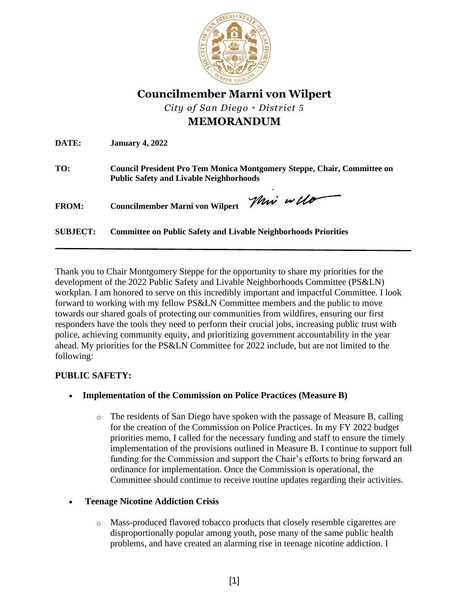

**Councilmember Marni von Wilpert**

*City of San Diego • District 5*

# **MEMORANDUM**

**DATE: January 4, 2022**

**TO: Council President Pro Tem Monica Montgomery Steppe, Chair, Committee on Public Safety and Livable Neighborhoods**

**FROM: Councilmember Marni von Wilpert** 

Mir will

**SUBJECT: Committee on Public Safety and Livable Neighborhoods Priorities** 

Thank you to Chair Montgomery Steppe for the opportunity to share my priorities for the development of the 2022 Public Safety and Livable Neighborhoods Committee (PS&LN) workplan. I am honored to serve on this incredibly important and impactful Committee. I look forward to working with my fellow PS&LN Committee members and the public to move towards our shared goals of protecting our communities from wildfires, ensuring our first responders have the tools they need to perform their crucial jobs, increasing public trust with police, achieving community equity, and prioritizing government accountability in the year ahead. My priorities for the PS&LN Committee for 2022 include, but are not limited to the following:

## **PUBLIC SAFETY:**

- **Implementation of the Commission on Police Practices (Measure B)**
	- o The residents of San Diego have spoken with the passage of Measure B, calling for the creation of the Commission on Police Practices. In my FY 2022 budget priorities memo, I called for the necessary funding and staff to ensure the timely implementation of the provisions outlined in Measure B. I continue to support full funding for the Commission and support the Chair's efforts to bring forward an ordinance for implementation. Once the Commission is operational, the Committee should continue to receive routine updates regarding their activities.

## • **Teenage Nicotine Addiction Crisis**

o Mass-produced flavored tobacco products that closely resemble cigarettes are disproportionally popular among youth, pose many of the same public health problems, and have created an alarming rise in teenage nicotine addiction. I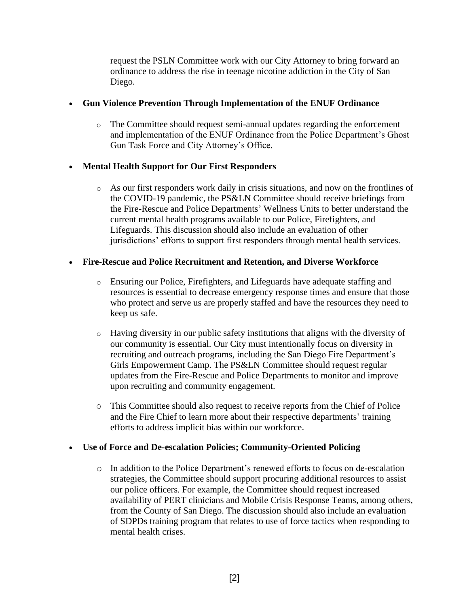request the PSLN Committee work with our City Attorney to bring forward an ordinance to address the rise in teenage nicotine addiction in the City of San Diego.

## • **Gun Violence Prevention Through Implementation of the ENUF Ordinance**

o The Committee should request semi-annual updates regarding the enforcement and implementation of the ENUF Ordinance from the Police Department's Ghost Gun Task Force and City Attorney's Office.

## • **Mental Health Support for Our First Responders**

o As our first responders work daily in crisis situations, and now on the frontlines of the COVID-19 pandemic, the PS&LN Committee should receive briefings from the Fire-Rescue and Police Departments' Wellness Units to better understand the current mental health programs available to our Police, Firefighters, and Lifeguards. This discussion should also include an evaluation of other jurisdictions' efforts to support first responders through mental health services.

## • **Fire-Rescue and Police Recruitment and Retention, and Diverse Workforce**

- o Ensuring our Police, Firefighters, and Lifeguards have adequate staffing and resources is essential to decrease emergency response times and ensure that those who protect and serve us are properly staffed and have the resources they need to keep us safe.
- $\circ$  Having diversity in our public safety institutions that aligns with the diversity of our community is essential. Our City must intentionally focus on diversity in recruiting and outreach programs, including the San Diego Fire Department's Girls Empowerment Camp. The PS&LN Committee should request regular updates from the Fire-Rescue and Police Departments to monitor and improve upon recruiting and community engagement.
- O This Committee should also request to receive reports from the Chief of Police and the Fire Chief to learn more about their respective departments' training efforts to address implicit bias within our workforce.

## • **Use of Force and De-escalation Policies; Community-Oriented Policing**

o In addition to the Police Department's renewed efforts to focus on de-escalation strategies, the Committee should support procuring additional resources to assist our police officers. For example, the Committee should request increased availability of PERT clinicians and Mobile Crisis Response Teams, among others, from the County of San Diego. The discussion should also include an evaluation of SDPDs training program that relates to use of force tactics when responding to mental health crises.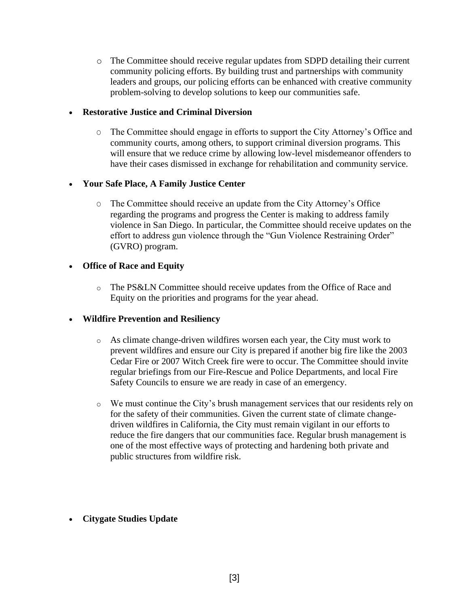o The Committee should receive regular updates from SDPD detailing their current community policing efforts. By building trust and partnerships with community leaders and groups, our policing efforts can be enhanced with creative community problem-solving to develop solutions to keep our communities safe.

#### • **Restorative Justice and Criminal Diversion**

O The Committee should engage in efforts to support the City Attorney's Office and community courts, among others, to support criminal diversion programs. This will ensure that we reduce crime by allowing low-level misdemeanor offenders to have their cases dismissed in exchange for rehabilitation and community service.

## • **Your Safe Place, A Family Justice Center**

O The Committee should receive an update from the City Attorney's Office regarding the programs and progress the Center is making to address family violence in San Diego. In particular, the Committee should receive updates on the effort to address gun violence through the "Gun Violence Restraining Order" (GVRO) program.

#### • **Office of Race and Equity**

o The PS&LN Committee should receive updates from the Office of Race and Equity on the priorities and programs for the year ahead.

## • **Wildfire Prevention and Resiliency**

- o As climate change-driven wildfires worsen each year, the City must work to prevent wildfires and ensure our City is prepared if another big fire like the 2003 Cedar Fire or 2007 Witch Creek fire were to occur. The Committee should invite regular briefings from our Fire-Rescue and Police Departments, and local Fire Safety Councils to ensure we are ready in case of an emergency.
- o We must continue the City's brush management services that our residents rely on for the safety of their communities. Given the current state of climate changedriven wildfires in California, the City must remain vigilant in our efforts to reduce the fire dangers that our communities face. Regular brush management is one of the most effective ways of protecting and hardening both private and public structures from wildfire risk.
- **Citygate Studies Update**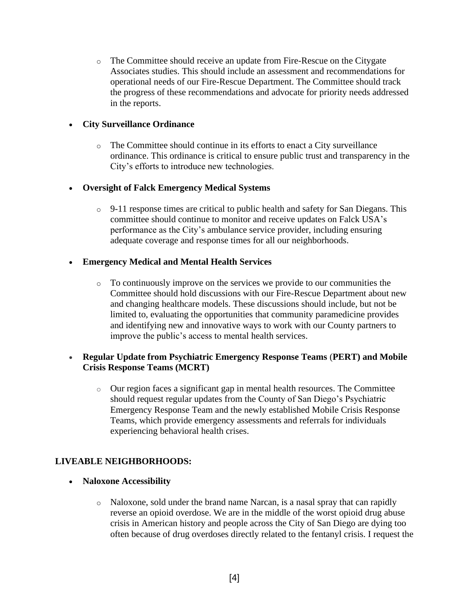o The Committee should receive an update from Fire-Rescue on the Citygate Associates studies. This should include an assessment and recommendations for operational needs of our Fire-Rescue Department. The Committee should track the progress of these recommendations and advocate for priority needs addressed in the reports.

## • **City Surveillance Ordinance**

o The Committee should continue in its efforts to enact a City surveillance ordinance. This ordinance is critical to ensure public trust and transparency in the City's efforts to introduce new technologies.

#### • **Oversight of Falck Emergency Medical Systems**

 $\circ$  9-11 response times are critical to public health and safety for San Diegans. This committee should continue to monitor and receive updates on Falck USA's performance as the City's ambulance service provider, including ensuring adequate coverage and response times for all our neighborhoods.

#### • **Emergency Medical and Mental Health Services**

 $\circ$  To continuously improve on the services we provide to our communities the Committee should hold discussions with our Fire-Rescue Department about new and changing healthcare models. These discussions should include, but not be limited to, evaluating the opportunities that community paramedicine provides and identifying new and innovative ways to work with our County partners to improve the public's access to mental health services.

## • **Regular Update from Psychiatric Emergency Response Teams** (**PERT) and Mobile Crisis Response Teams (MCRT)**

o Our region faces a significant gap in mental health resources. The Committee should request regular updates from the County of San Diego's Psychiatric Emergency Response Team and the newly established Mobile Crisis Response Teams, which provide emergency assessments and referrals for individuals experiencing behavioral health crises.

## **LIVEABLE NEIGHBORHOODS:**

- **Naloxone Accessibility** 
	- o Naloxone, sold under the brand name Narcan, is a nasal spray that can rapidly reverse an opioid overdose. We are in the middle of the worst opioid drug abuse crisis in American history and people across the City of San Diego are dying too often because of drug overdoses directly related to the fentanyl crisis. I request the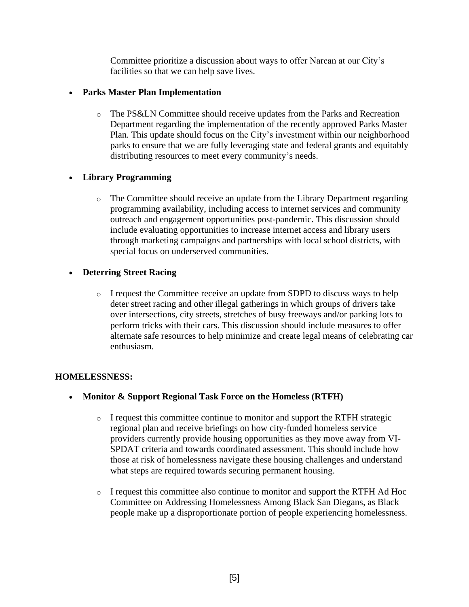Committee prioritize a discussion about ways to offer Narcan at our City's facilities so that we can help save lives.

#### • **Parks Master Plan Implementation**

o The PS&LN Committee should receive updates from the Parks and Recreation Department regarding the implementation of the recently approved Parks Master Plan. This update should focus on the City's investment within our neighborhood parks to ensure that we are fully leveraging state and federal grants and equitably distributing resources to meet every community's needs.

## • **Library Programming**

o The Committee should receive an update from the Library Department regarding programming availability, including access to internet services and community outreach and engagement opportunities post-pandemic. This discussion should include evaluating opportunities to increase internet access and library users through marketing campaigns and partnerships with local school districts, with special focus on underserved communities.

## • **Deterring Street Racing**

o I request the Committee receive an update from SDPD to discuss ways to help deter street racing and other illegal gatherings in which groups of drivers take over intersections, city streets, stretches of busy freeways and/or parking lots to perform tricks with their cars. This discussion should include measures to offer alternate safe resources to help minimize and create legal means of celebrating car enthusiasm.

## **HOMELESSNESS:**

- **Monitor & Support Regional Task Force on the Homeless (RTFH)**
	- $\circ$  I request this committee continue to monitor and support the RTFH strategic regional plan and receive briefings on how city-funded homeless service providers currently provide housing opportunities as they move away from VI-SPDAT criteria and towards coordinated assessment. This should include how those at risk of homelessness navigate these housing challenges and understand what steps are required towards securing permanent housing.
	- o I request this committee also continue to monitor and support the RTFH Ad Hoc Committee on Addressing Homelessness Among Black San Diegans, as Black people make up a disproportionate portion of people experiencing homelessness.